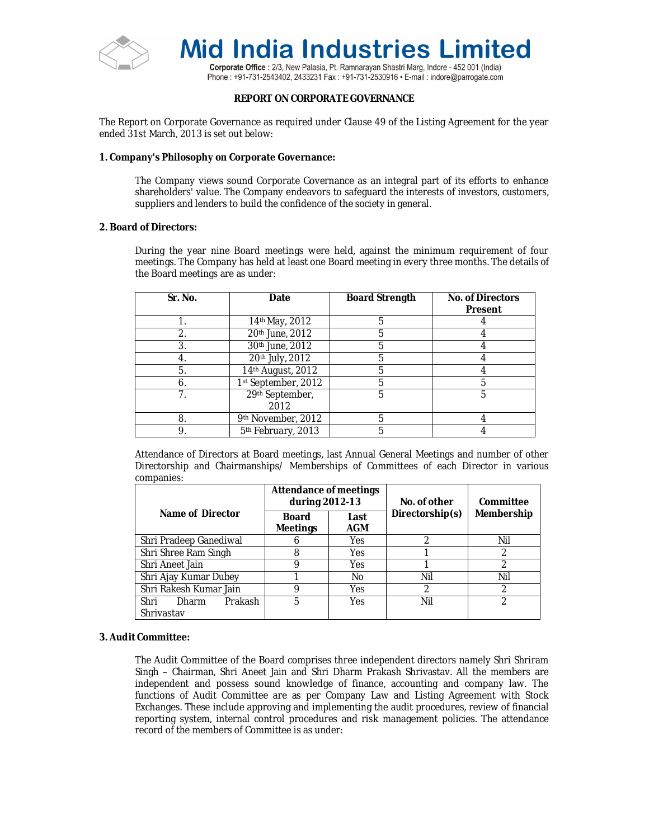

Corporate Office: 2/3, New Palasia, Pt. Ramnarayan Shastri Marg, Indore - 452 001 (India) Phone: +91-731-2543402, 2433231 Fax: +91-731-2530916 • E-mail: indore@parrogate.com

# **REPORT ON CORPORATE GOVERNANCE**

The Report on Corporate Governance as required under Clause 49 of the Listing Agreement for the year ended 31st March, 2013 is set out below:

# **1. Company's Philosophy on Corporate Governance:**

The Company views sound Corporate Governance as an integral part of its efforts to enhance shareholders' value. The Company endeavors to safeguard the interests of investors, customers, suppliers and lenders to build the confidence of the society in general.

# **2. Board of Directors:**

During the year nine Board meetings were held, against the minimum requirement of four meetings. The Company has held at least one Board meeting in every three months. The details of the Board meetings are as under:

| Sr. No. | Date                    | <b>Board Strength</b> | <b>No. of Directors</b><br>Present |
|---------|-------------------------|-----------------------|------------------------------------|
|         | 14th May, 2012          | 5                     |                                    |
| 2.      | 20th June, 2012         | 5                     |                                    |
| 3.      | 30th June, 2012         | 5                     |                                    |
| 4.      | 20th July, 2012         | 5                     |                                    |
| 5.      | 14th August, 2012       | 5                     |                                    |
| 6.      | 1st September, 2012     | 5                     |                                    |
|         | 29th September,<br>2012 | 5                     | 5                                  |
| 8.      | 9th November, 2012      | 5                     |                                    |
|         | 5th February, 2013      | 5                     |                                    |

Attendance of Directors at Board meetings, last Annual General Meetings and number of other Directorship and Chairmanships/ Memberships of Committees of each Director in various companies:

|                                 | <b>Attendance of meetings</b><br>during 2012-13 |             | No. of other    | Committee  |  |
|---------------------------------|-------------------------------------------------|-------------|-----------------|------------|--|
| Name of Director                | Board<br><b>Meetings</b>                        | Last<br>AGM | Directorship(s) | Membership |  |
| Shri Pradeep Ganediwal          |                                                 | Yes         |                 | Nil        |  |
| Shri Shree Ram Singh            | 8                                               | Yes         |                 | 2          |  |
| Shri Aneet Jain                 | 9                                               | <b>Yes</b>  |                 | 2          |  |
| Shri Ajay Kumar Dubey           |                                                 | No          | Nil             | Nil        |  |
| Shri Rakesh Kumar Jain          | 9                                               | <b>Yes</b>  | 2               | っ          |  |
| Prakash<br>Shri<br><b>Dharm</b> | 5                                               | Yes         | Nil             | っ          |  |
| Shrivastav                      |                                                 |             |                 |            |  |

# **3. Audit Committee:**

The Audit Committee of the Board comprises three independent directors namely Shri Shriram Singh – Chairman, Shri Aneet Jain and Shri Dharm Prakash Shrivastav. All the members are independent and possess sound knowledge of finance, accounting and company law. The functions of Audit Committee are as per Company Law and Listing Agreement with Stock Exchanges. These include approving and implementing the audit procedures, review of financial reporting system, internal control procedures and risk management policies. The attendance record of the members of Committee is as under: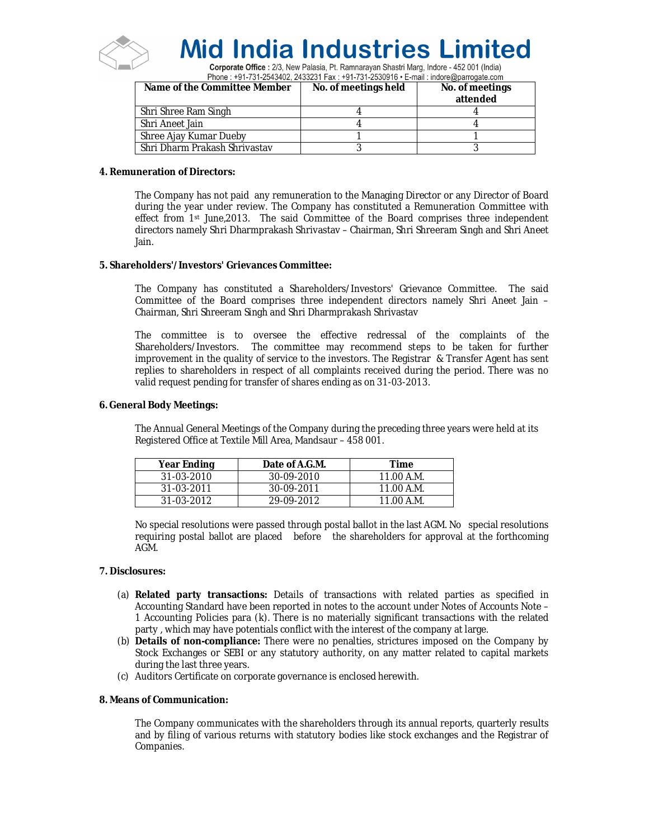

Corporate Office : 2/3, New Palasia, Pt. Ramnarayan Shastri Marg, Indore - 452 001 (India) Phone: +91-731-2543402, 2433231 Fax: +91-731-2530916 • E-mail: indore@parrogate.com

| Name of the Committee Member  | No. of meetings held | No. of meetings<br>attended |
|-------------------------------|----------------------|-----------------------------|
| Shri Shree Ram Singh          |                      |                             |
| Shri Aneet Jain               |                      |                             |
| Shree Ajay Kumar Dueby        |                      |                             |
| Shri Dharm Prakash Shrivastav |                      |                             |

# **4. Remuneration of Directors:**

The Company has not paid any remuneration to the Managing Director or any Director of Board during the year under review. The Company has constituted a Remuneration Committee with effect from 1st June,2013. The said Committee of the Board comprises three independent directors namely Shri Dharmprakash Shrivastav – Chairman, Shri Shreeram Singh and Shri Aneet Jain.

# **5. Shareholders'/Investors' Grievances Committee:**

The Company has constituted a Shareholders/Investors' Grievance Committee. The said Committee of the Board comprises three independent directors namely Shri Aneet Jain – Chairman, Shri Shreeram Singh and Shri Dharmprakash Shrivastav

The committee is to oversee the effective redressal of the complaints of the Shareholders/Investors. The committee may recommend steps to be taken for further improvement in the quality of service to the investors. The Registrar & Transfer Agent has sent replies to shareholders in respect of all complaints received during the period. There was no valid request pending for transfer of shares ending as on 31-03-2013.

# **6. General Body Meetings:**

The Annual General Meetings of the Company during the preceding three years were held at its Registered Office at Textile Mill Area, Mandsaur – 458 001.

| <b>Year Ending</b> | Date of A.G.M. | Time       |
|--------------------|----------------|------------|
| 31-03-2010         | 30-09-2010     | 11.00 A.M. |
| 31-03-2011         | 30-09-2011     | 11.00 A.M. |
| $31 - 03 - 2012$   | 29-09-2012     | 11.00 A.M. |

No special resolutions were passed through postal ballot in the last AGM. No special resolutions requiring postal ballot are placed before the shareholders for approval at the forthcoming AGM.

## **7. Disclosures:**

- (a) **Related party transactions:** Details of transactions with related parties as specified in Accounting Standard have been reported in notes to the account under Notes of Accounts Note – 1 Accounting Policies para (k). There is no materially significant transactions with the related party , which may have potentials conflict with the interest of the company at large.
- (b) **Details of non-compliance:** There were no penalties, strictures imposed on the Company by Stock Exchanges or SEBI or any statutory authority, on any matter related to capital markets during the last three years.
- (c) Auditors Certificate on corporate governance is enclosed herewith.

# **8. Means of Communication:**

The Company communicates with the shareholders through its annual reports, quarterly results and by filing of various returns with statutory bodies like stock exchanges and the Registrar of Companies.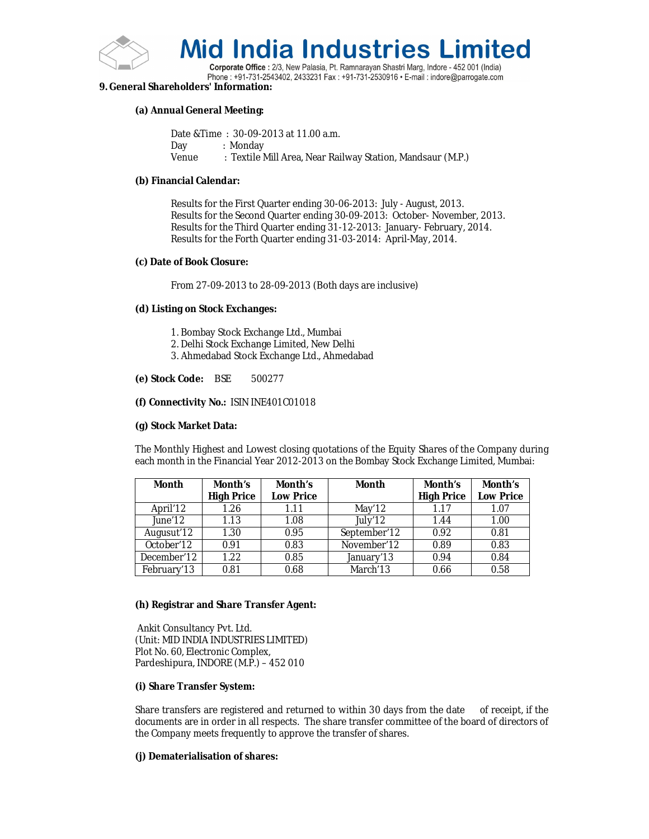

Corporate Office : 2/3, New Palasia, Pt. Ramnarayan Shastri Marg, Indore - 452 001 (India) Phone: +91-731-2543402, 2433231 Fax: +91-731-2530916 • E-mail: indore@parrogate.com

# **9. General Shareholders' Information:**

## **(a) Annual General Meeting:**

Date &Time : 30-09-2013 at 11.00 a.m. Day : Monday Venue : Textile Mill Area, Near Railway Station, Mandsaur (M.P.)

## **(b) Financial Calendar:**

Results for the First Quarter ending 30-06-2013: July - August, 2013. Results for the Second Quarter ending 30-09-2013: October- November, 2013. Results for the Third Quarter ending 31-12-2013: January- February, 2014. Results for the Forth Quarter ending 31-03-2014: April-May, 2014.

## **(c) Date of Book Closure:**

From 27-09-2013 to 28-09-2013 (Both days are inclusive)

# **(d) Listing on Stock Exchanges:**

- 1. Bombay Stock Exchange Ltd., Mumbai
- 2. Delhi Stock Exchange Limited, New Delhi
- 3. Ahmedabad Stock Exchange Ltd., Ahmedabad

# **(e) Stock Code:** BSE 500277

# **(f) Connectivity No.:** ISIN INE401C01018

# **(g) Stock Market Data:**

The Monthly Highest and Lowest closing quotations of the Equity Shares of the Company during each month in the Financial Year 2012-2013 on the Bombay Stock Exchange Limited, Mumbai:

| Month       | Month's<br><b>High Price</b> | Month's<br><b>Low Price</b> | <b>Month</b>         | Month's<br><b>High Price</b> | Month's<br><b>Low Price</b> |
|-------------|------------------------------|-----------------------------|----------------------|------------------------------|-----------------------------|
| April'12    | 1.26                         | 1.11                        | May'12               | 1.17                         | 1.07                        |
| June'12     | 1.13                         | 1.08                        | July'12              | 1.44                         | 1.00                        |
| Augusut'12  | 1.30                         | 0.95                        | September'12         | 0.92                         | 0.81                        |
| October'12  | 0.91                         | 0.83                        | November'12          | 0.89                         | 0.83                        |
| December'12 | 1.22                         | 0.85                        | January'13           | 0.94                         | 0.84                        |
| February'13 | 0.81                         | 0.68                        | March <sup>'13</sup> | 0.66                         | 0.58                        |

## **(h) Registrar and Share Transfer Agent:**

Ankit Consultancy Pvt. Ltd. (Unit: MID INDIA INDUSTRIES LIMITED) Plot No. 60, Electronic Complex, Pardeshipura, INDORE (M.P.) – 452 010

## **(i) Share Transfer System:**

Share transfers are registered and returned to within 30 days from the date of receipt, if the documents are in order in all respects. The share transfer committee of the board of directors of the Company meets frequently to approve the transfer of shares.

# **(j) Dematerialisation of shares:**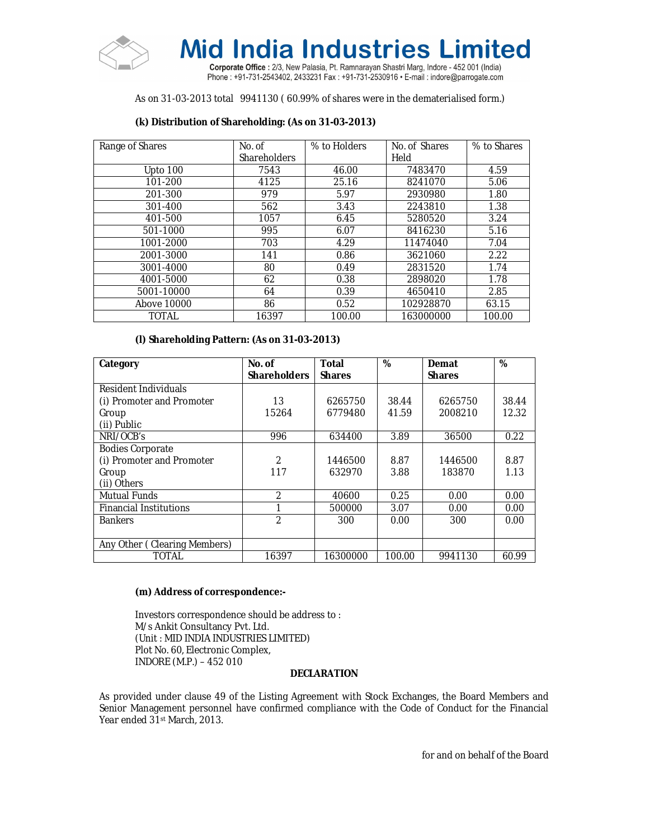

Corporate Office: 2/3, New Palasia, Pt. Ramnarayan Shastri Marg, Indore - 452 001 (India) Phone: +91-731-2543402, 2433231 Fax: +91-731-2530916 · E-mail: indore@parrogate.com

# As on 31-03-2013 total 9941130 ( 60.99% of shares were in the dematerialised form.)

# **(k) Distribution of Shareholding: (As on 31-03-2013)**

| Range of Shares | No. of              | % to Holders | No. of Shares | % to Shares |
|-----------------|---------------------|--------------|---------------|-------------|
|                 | <b>Shareholders</b> |              | Held          |             |
| Upto 100        | 7543                | 46.00        | 7483470       | 4.59        |
| 101-200         | 4125                | 25.16        | 8241070       | 5.06        |
| 201-300         | 979                 | 5.97         | 2930980       | 1.80        |
| 301-400         | 562                 | 3.43         | 2243810       | 1.38        |
| 401-500         | 1057                | 6.45         | 5280520       | 3.24        |
| 501-1000        | 995                 | 6.07         | 8416230       | 5.16        |
| 1001-2000       | 703                 | 4.29         | 11474040      | 7.04        |
| 2001-3000       | 141                 | 0.86         | 3621060       | 2.22        |
| 3001-4000       | 80                  | 0.49         | 2831520       | 1.74        |
| 4001-5000       | 62                  | 0.38         | 2898020       | 1.78        |
| 5001-10000      | 64                  | 0.39         | 4650410       | 2.85        |
| Above 10000     | 86                  | 0.52         | 102928870     | 63.15       |
| <b>TOTAL</b>    | 16397               | 100.00       | 163000000     | 100.00      |

# **(l) Shareholding Pattern: (As on 31-03-2013)**

| Category                      | No. of              | <b>Total</b>  | %      | Demat         | %     |
|-------------------------------|---------------------|---------------|--------|---------------|-------|
|                               | <b>Shareholders</b> | <b>Shares</b> |        | <b>Shares</b> |       |
| Resident Individuals          |                     |               |        |               |       |
| (i) Promoter and Promoter     | 13                  | 6265750       | 38.44  | 6265750       | 38.44 |
| Group                         | 15264               | 6779480       | 41.59  | 2008210       | 12.32 |
| (ii) Public                   |                     |               |        |               |       |
| NRI/OCB's                     | 996                 | 634400        | 3.89   | 36500         | 0.22  |
| <b>Bodies Corporate</b>       |                     |               |        |               |       |
| (i) Promoter and Promoter     | 2                   | 1446500       | 8.87   | 1446500       | 8.87  |
| Group                         | 117                 | 632970        | 3.88   | 183870        | 1.13  |
| (ii) Others                   |                     |               |        |               |       |
| <b>Mutual Funds</b>           | $\mathfrak{D}$      | 40600         | 0.25   | 0.00          | 0.00  |
| <b>Financial Institutions</b> |                     | 500000        | 3.07   | 0.00          | 0.00  |
| <b>Bankers</b>                | $\mathfrak{p}$      | 300           | 0.00   | 300           | 0.00  |
|                               |                     |               |        |               |       |
| Any Other (Clearing Members)  |                     |               |        |               |       |
| TOTAL                         | 16397               | 16300000      | 100.00 | 9941130       | 60.99 |

## **(m) Address of correspondence:-**

Investors correspondence should be address to : M/s Ankit Consultancy Pvt. Ltd. (Unit : MID INDIA INDUSTRIES LIMITED) Plot No. 60, Electronic Complex, INDORE (M.P.) – 452 010

## **DECLARATION**

As provided under clause 49 of the Listing Agreement with Stock Exchanges, the Board Members and Senior Management personnel have confirmed compliance with the Code of Conduct for the Financial Year ended 31st March, 2013.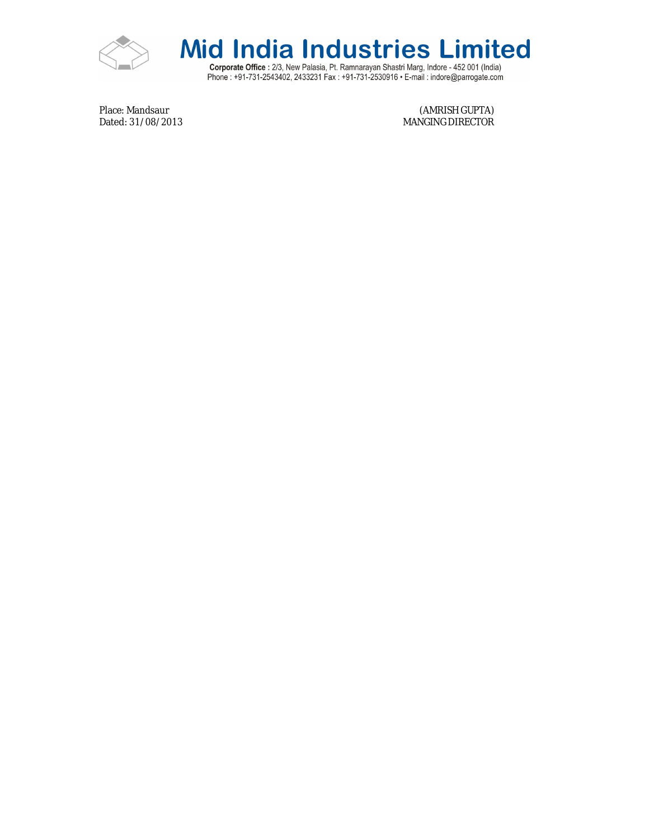



Corporate Office : 2/3, New Palasia, Pt. Ramnarayan Shastri Marg, Indore - 452 001 (India)<br>Phone : +91-731-2543402, 2433231 Fax : +91-731-2530916 • E-mail : indore@parrogate.com

Place: Mandsaur (AMRISH GUPTA)<br>Dated: 31/08/2013 (Dated: 31/08/2013 MANGING DIRECTOR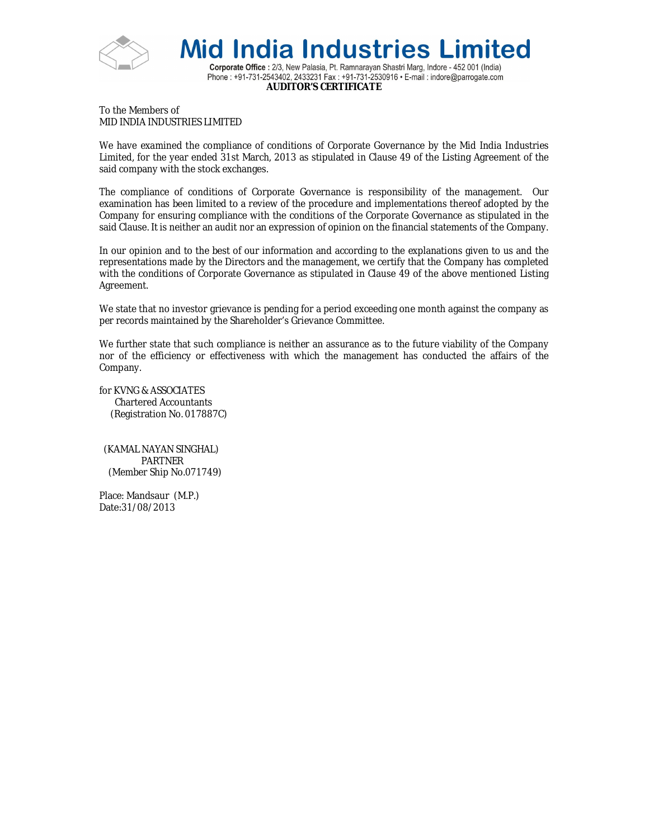

**Mid India Industries Limited** Corporate Office : 2/3, New Palasia, Pt. Ramnarayan Shastri Marg, Indore - 452 001 (India) Phone: +91-731-2543402, 2433231 Fax: +91-731-2530916 • E-mail: indore@parrogate.com **AUDITOR'S CERTIFICATE**

To the Members of MID INDIA INDUSTRIES LIMITED

We have examined the compliance of conditions of Corporate Governance by the Mid India Industries Limited, for the year ended 31st March, 2013 as stipulated in Clause 49 of the Listing Agreement of the said company with the stock exchanges.

The compliance of conditions of Corporate Governance is responsibility of the management. Our examination has been limited to a review of the procedure and implementations thereof adopted by the Company for ensuring compliance with the conditions of the Corporate Governance as stipulated in the said Clause. It is neither an audit nor an expression of opinion on the financial statements of the Company.

In our opinion and to the best of our information and according to the explanations given to us and the representations made by the Directors and the management, we certify that the Company has completed with the conditions of Corporate Governance as stipulated in Clause 49 of the above mentioned Listing Agreement.

We state that no investor grievance is pending for a period exceeding one month against the company as per records maintained by the Shareholder's Grievance Committee.

We further state that such compliance is neither an assurance as to the future viability of the Company nor of the efficiency or effectiveness with which the management has conducted the affairs of the Company.

for KVNG & ASSOCIATES Chartered Accountants (Registration No. 017887C)

 (KAMAL NAYAN SINGHAL) PARTNER (Member Ship No.071749)

Place: Mandsaur (M.P.) Date:31/08/2013